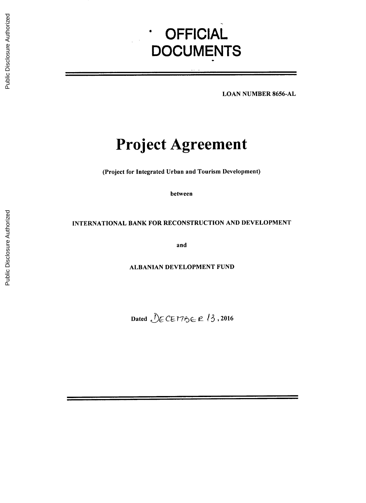# **OFFICIAL DOCUMENTS**

**LOAN NUMBER 8656-AL**

## **Project Agreement**

(Project for Integrated Urban and Tourism Development)

between

## **INTERNATIONAL** BANK FOR **RECONSTRUCTION AND DEVELOPMENT**

and

**ALBANIAN DEVELOPMENT FUND**

Dated  $\bigcirc$ ECEMBER 13,2016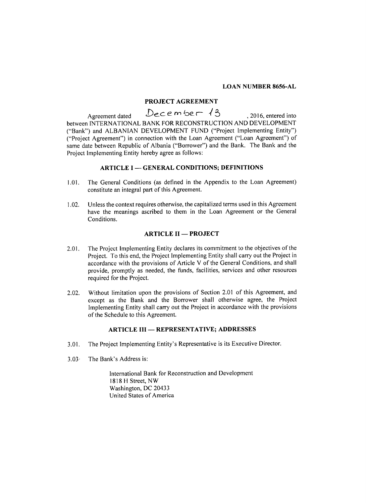## **LOAN NUMBER 8656-AL**

## **PROJECT AGREEMENT**

Agreement dated  $Decem$  be $13$ , 2016, entered into between **INTERNATIONAL** BANK FOR **RECONSTRUCTION AND DEVELOPMENT** ("Bank") and **ALBANIAN DEVELOPMENT FUND** ("Project Implementing Entity") ("Project Agreement") in connection with the Loan Agreement ("Loan Agreement") of same date between Republic of Albania ("Borrower") and the Bank. The Bank and the Project Implementing Entity hereby agree as follows:

#### **ARTICLE I - GENERAL CONDITIONS;** DEFINITIONS

- **1.01.** The General Conditions (as defined in the Appendix to the Loan Agreement) constitute an integral part of this Agreement.
- 1.02. Unless the context requires otherwise, the capitalized terms used in this Agreement have the meanings ascribed to them in the Loan Agreement or the General Conditions.

## **ARTICLE II - PROJECT**

- 2.01. The Project Implementing Entity declares its commitment to the objectives of the Project. To this end, the Project Implementing Entity shall carry out the Project in accordance with the provisions of Article V of the General Conditions, and shall provide, promptly as needed, the funds, facilities, services and other resources required for the Project.
- 2.02. Without limitation upon the provisions of Section 2.01 of this Agreement, and except as the Bank and the Borrower shall otherwise agree, the Project Implementing Entity shall carry out the Project in accordance with the provisions of the Schedule to this Agreement.

## **ARTICLE III - REPRESENTATIVE; ADDRESSES**

- **3.01.** The Project Implementing Entity's Representative is its Executive Director.
- **3.03** The Bank's Address is:

International Bank for Reconstruction and Development **1818** H Street, NW Washington, **DC** 20433 United States of America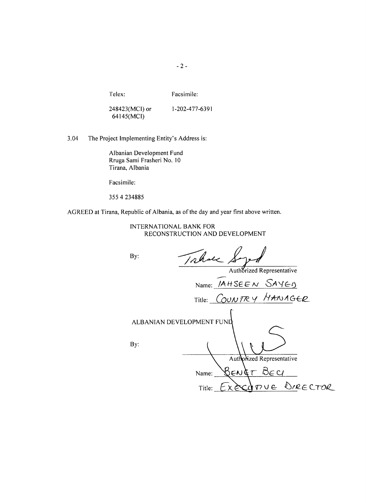-2-

Telex: Facsimile:

248423(MCI) or **1-202-477-6391** 64145(MCI)

3.04 The Project Implementing Entity's Address is:

Albanian Development Fund Rruga Sami Frasheri No. **10** Tirana, Albania

Facsimile:

**355** 4 **234885**

AGREED at Tirana, Republic of Albania, as of the day and year first above written.

| INTERNATIONAL BANK FOR         |
|--------------------------------|
| RECONSTRUCTION AND DEVELOPMENT |

| Takse<br>By:              |                            |
|---------------------------|----------------------------|
|                           | Authorized Representative  |
|                           | Name: <i>IAHSEEN</i> SAYEO |
|                           | Title: COUNTRY MANAGER     |
|                           |                            |
| ALBANIAN DEVELOPMENT FUND |                            |
|                           |                            |
| By:                       |                            |
|                           | Authorized Representative  |
| Name:                     | BENET BECI                 |
| Title:                    | ECOPTUE DIRECTOR           |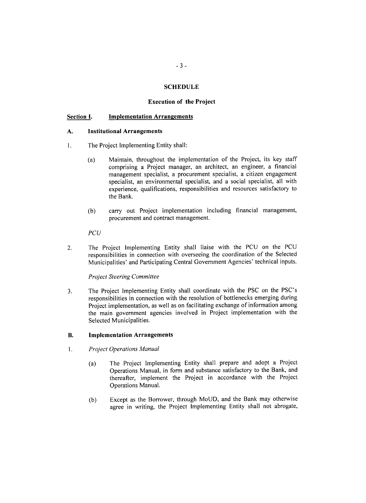## **SCHEDULE**

## **Execution of the Project**

#### **Section I. Implementation Arrangements**

#### **A. Institutional Arrangements**

- 1. The Project Implementing Entity shall:
	- (a) Maintain, throughout the implementation of the Project, its key staff comprising a Project manager, an architect, an engineer, a financial management specialist, a procurement specialist, a citizen engagement specialist, an environmental specialist, and a social specialist, all with experience, qualifications, responsibilities and resources satisfactory to the Bank.
	- **(b)** carry out Project implementation including financial management, procurement and contract management.

*PCU*

2. The Project Implementing Entity shall liaise with the **PCU** on the **PCU** responsibilities in connection with overseeing the coordination of the Selected Municipalities' and Participating Central Government Agencies' technical inputs.

#### *Project Steering Committee*

**3.** The Project Implementing Entity shall coordinate with the **PSC** on the PSC's responsibilities in connection with the resolution of bottlenecks emerging during Project implementation, as well as on facilitating exchange of information among the main government agencies involved in Project implementation with the Selected Municipalities.

#### B. **Implementation Arrangements**

- 1 **.** *Project Operations Manual*
	- (a) The Project Implementing Entity shall prepare and adopt a Project Operations Manual, in form and substance satisfactory to the Bank, and thereafter, implement the Project in accordance with the Project Operations Manual.
	- **(b)** Except as the Borrower, through MoUD, and the Bank may otherwise agree in writing, the Project Implementing Entity shall not abrogate,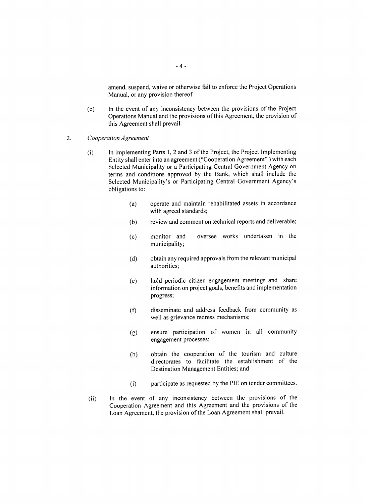amend, suspend, waive or otherwise fail to enforce the Project Operations Manual, or any provision thereof.

- **(c)** In the event of any inconsistency between the provisions of the Project Operations Manual and the provisions of this Agreement, the provision of this Agreement shall prevail.
- 2. *Cooperation Agreement*
	- (i) In implementing Parts **1,** 2 and **3** of the Project, the Project Implementing Entity shall enter into an agreement ("Cooperation Agreement" **)** with each Selected Municipality or a Participating Central Government Agency on terms and conditions approved **by** the Bank, which shall include the Selected Municipality's or Participating Central Government Agency's obligations to:
		- (a) operate and maintain rehabilitated assets in accordance with agreed standards;
		- **(b)** review and comment on technical reports and deliverable;
		- **(c)** monitor and oversee works undertaken in the municipality;
		- **(d)** obtain any required approvals from the relevant municipal authorities;
		- (e) hold periodic citizen engagement meetings and share information on project goals, benefits and implementation progress;
		- **(f)** disseminate and address feedback from community as well as grievance redress mechanisms;
		- **(g)** ensure participation of women in all community engagement processes;
		- (h) obtain the cooperation of the tourism and culture directorates to facilitate the establishment of the Destination Management Entities; and
		- (i) participate as requested **by** the PIE on tender committees.
	- (ii) In the event of any inconsistency between the provisions of the Cooperation Agreement and this Agreement and the provisions of the Loan Agreement, the provision of the Loan Agreement shall prevail.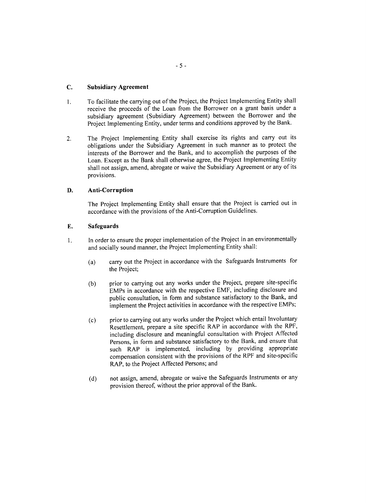## **C. Subsidiary Agreement**

- 1. To facilitate the carrying out of the Project, the Project Implementing Entity shall receive the proceeds of the Loan from the Borrower on a grant basis under a subsidiary agreement (Subsidiary Agreement) between the Borrower and the Project Implementing Entity, under terms and conditions approved **by** the Bank.
- 2. The Project Implementing Entity shall exercise its rights and carry out its obligations under the Subsidiary Agreement in such manner as to protect the interests of the Borrower and the Bank, and to accomplish the purposes of the Loan. Except as the Bank shall otherwise agree, the Project Implementing Entity shall not assign, amend, abrogate or waive the Subsidiary Agreement or any of its provisions.

## **D.** Anti-Corruption

The Project Implementing Entity shall ensure that the Project is carried out in accordance with the provisions of the Anti-Corruption Guidelines.

## **E.** Safeguards

- 1. In order to ensure the proper implementation of the Project in an environmentally and socially sound manner, the Project Implementing Entity shall:
	- (a) carry out the Project in accordance with the Safeguards Instruments for the Project;
	- **(b)** prior to carrying out any works under the Project, prepare site-specific EMPs in accordance with the respective EMF, including disclosure and public consultation, in form and substance satisfactory to the Bank, and implement the Project activities in accordance with the respective EMPs;
	- (c) prior to carrying out any works under the Project which entail Involuntary Resettlement, prepare a site specific RAP in accordance with the RPF, including disclosure and meaningful consultation with Project Affected Persons, in form and substance satisfactory to the Bank, and ensure that such RAP is implemented, including **by** providing appropriate compensation consistent with the provisions of the RPF and site-specific RAP, to the Project Affected Persons; and
	- **(d)** not assign, amend, abrogate or waive the Safeguards Instruments or any provision thereof, without the prior approval of the Bank.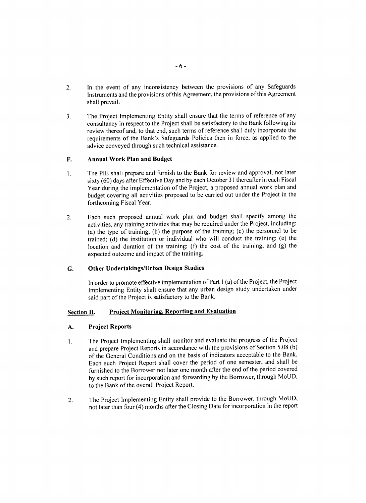- 2. In the event of any inconsistency between the provisions of any Safeguards Instruments and the provisions of this Agreement, the provisions of this Agreement shall prevail.
- **3.** The Project Implementing Entity shall ensure that the terms of reference of any consultancy in respect to the Project shall be satisfactory to the Bank following its review thereof and, to that end, such terms of reference shall duly incorporate the requirements of the Bank's Safeguards Policies then in force, as applied to the advice conveyed through such technical assistance.

## F. **Annual Work Plan and Budget**

- **I.** The PIE shall prepare and furnish to the Bank for review and approval, not later sixty **(60)** days after Effective Day and **by** each October **31** thereafter in each Fiscal Year during the implementation of the Project, a proposed annual work plan and budget covering all activities proposed to be carried out under the Project in the forthcoming Fiscal Year.
- 2. Each such proposed annual work plan and budget shall specify among the activities, any training activities that may be required under the Project, including: (a) the type of training; **(b)** the purpose of the training; (c) the personnel to be trained; **(d)** the institution or individual who will conduct the training; (e) the location and duration of the training; **(f)** the cost of the training; and **(g)** the expected outcome and impact of the training.

## **G. Other Undertakings/Urban Design Studies**

In order to promote effective implementation of Part **I** (a) of the Project, the Project Implementing Entity shall ensure that any urban design study undertaken under said part of the Project is satisfactory to the Bank.

## **Section II. Project Monitoring, Reporting and Evaluation**

## **A. Project Reports**

- **I.** The Project Implementing shall monitor and evaluate the progress of the Project and prepare Project Reports in accordance with the provisions of Section *5.08* **(b)** of the General Conditions and on the basis of indicators acceptable to the Bank. Each such Project Report shall cover the period of one semester, and shall be furnished to the Borrower not later one month after the end of the period covered **by** such report for incorporation and forwarding **by** the Borrower, through MoUD, to the Bank of the overall Project Report.
- 2. The Project Implementing Entity shall provide to the Borrower, through MoUD, not later than four (4) months after the Closing Date for incorporation in the report